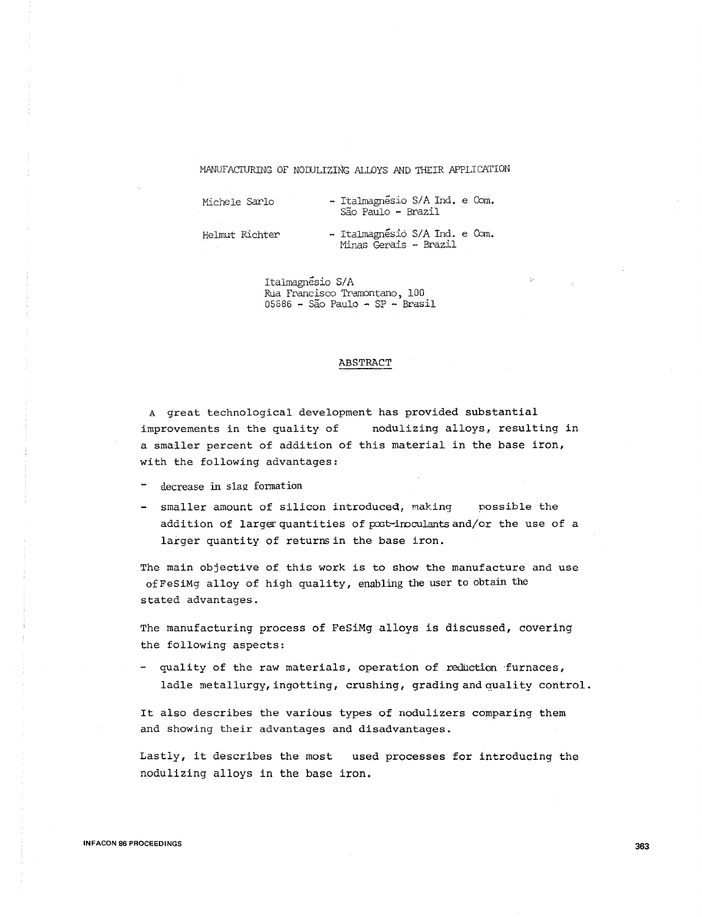#### MANUFACTURING OF NODULIZING ALLOYS AND THEIR APPLICATION

Michele Sarlo - Italmagnésio S/A Ind. e Com. Sao Paulo - Brazil

Helmut Richter - Italmagnesio S/A Ind. e Com. Minas Gerais - Brazil

> Italmagnesio S/A Rua Francisco Tramontano, 100 05686 - Sao Paulo - SP - Brasil

#### ABSTRACT

A great technological development has provided substantial improvements in the quality of nodulizing alloys, resulting in a smaller percent of addition of this material in the base iron, with the following advantages:

- decrease in slag formation
- smaller amount of silicon introduced, making possible the addition of larger quantities of post-inoculants and/or the use of a larger quantity of returns in the base iron.

The main objective of this work is to show the manufacture and use of FeSiMg alloy of high quality, enabling the user to obtain the stated advantages.

The manufacturing process of FeSiMg alloys is discussed, covering the following aspects:

- quality of the raw materials, operation of reduction furnaces, ladle metallurgy, ingotting, crushing, grading and quality control.

It also describes the various types of nodulizers comparing them and showing their advantages and disadvantages.

Lastly, it describes the most used processes for introducing the nodulizing alloys in the base iron.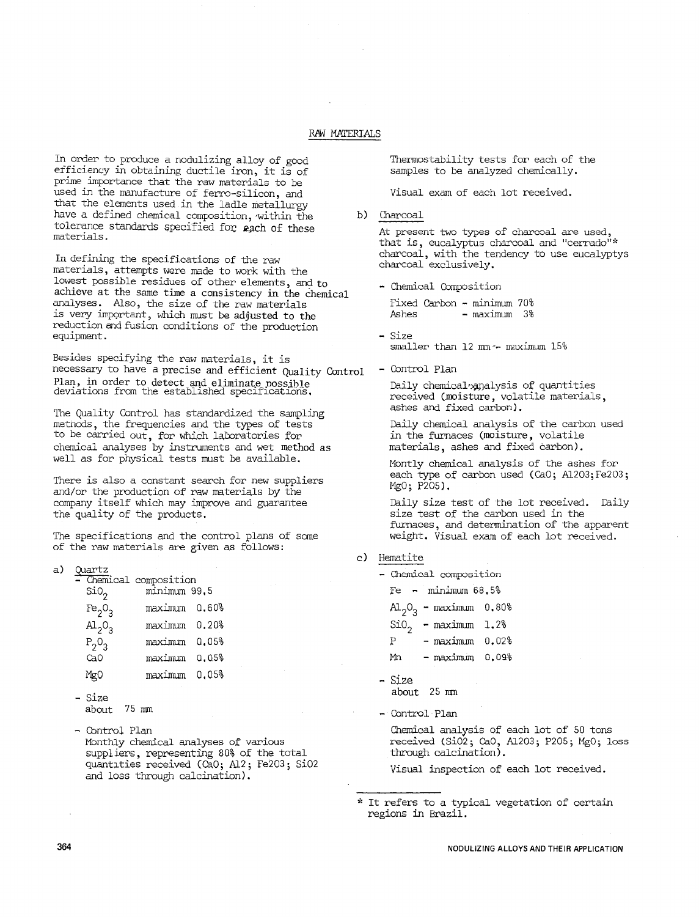# RM MATERIALS

In order to produce a nodulizing alloy of good efficiency in obtaining ductile iron, it is of prime importance that the raw materials to be used in the manufacture of ferro-silicon, and that the elements used in the ladle metallurgy have a defined chemical composition, within the tolerance standards specified for each of these materials.

In defining the specifications of the raw materials, attempts were made to work with the lowest possible residues of other elements, and to achieve at the same time a consistency in the chemical analyses. Also, the size of the raw materials is very imPQrtant, which must be adjusted to the reduction and fusion conditions of the production equipment.

Besides specifying the raw materials, it is necessary to have a precise and efficient Quality Control Plan, in order to detect and eliminate nossjhle deviations from the established specifications,

The Quality Control has standardized the sampling metnods, the frequencies and the types of tests to be carried out, for which laboratories for chemical analyses by instruments and wet method as well as for physical tests must be available,

There is also a constant search for new suppliers and/or the production of raw materials by the company itself which may improve and guarantee the quality of the products.

The specifications and the control plans of some of the raw materials are given as follows:

| a) | Quartz<br>- Chemical composition<br>sio, | minimum 99.5 |       |
|----|------------------------------------------|--------------|-------|
|    | Fe <sub>2</sub> O <sub>3</sub>           | maximum      | 0.60% |
|    | $\mathrm{Al}_{2}\mathrm{O}_{3}$          | maximum      | 0.20% |
|    | $P_2O_3$                                 | maximum      | 0.05% |
|    | CaO                                      | maximum      | 0.05% |
|    | MgO                                      | maximum      | 0,05% |
|    |                                          |              |       |

- Size about 75 mm
- Control Plan Monthly chemical analyses of various suppliers, representing 80% of the total quantities received (CaO; Al2; Fe2O3; SiO2 and loss through calcination).

Thermostability tests for each of the samples to be analyzed chemically.

Visual exam of each lot received.

b) Charcoal

At present two types of charcoal are used, that is, eucalyptus charcoal and "cerrado"\* charcoal, with the tendency to use eucalyptys charcoal exclusively.

- Chemical Composition

Fixed Carbon - minimum 70% - maximum 3%

- Size smaller than 12 mm - maximum 15%
- Control Plan

Daily chemical analysis of quantities received (moisture, volatile materials, ashes and fixed carbon).

Daily chemical analysis of the carbon used in the furnaces (moisture, volatile materials, ashes and fixed carbon).

Montly chemical analysis of the ashes for each type of carbon used (CaO; Al2O3; Fe2O3; MgO; P205).

Daily size test of the lot received. Daily size test of the carbon used in the furnaces, and determination of the apparent weight. Visual exam of each lot received.

- c) Hematite
	- Chemical composition

 $Fe - minimum 68.5%$ 

- $Al_2O_3$  maximum  $0.80%$
- 

 $SiO<sub>2</sub>$  - maximum 1.2%<br>P - maximum 0.02  $-$  maximum  $0.02%$ 

- $Mn maximum 0.09%$
- <sup>~</sup>Size about 25 nm

- Control Plan

Chemical analysis of each lot of 50 tons received (Si02; Ca0, Al203; P205; Mg0; loss through calcination).

Visual inspection of each lot received.

<sup>\*</sup> It refers to a typical vegetation of certain regions in Brazil.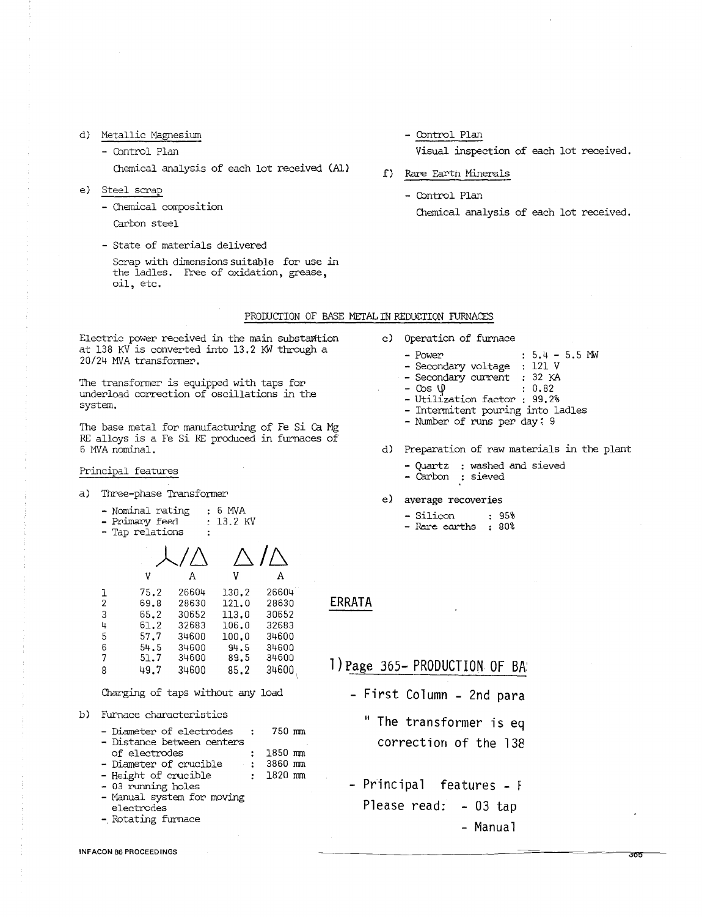# d) Metallic Magnesiwn

- Control Plan

Chemical analysis of each lot received (Al)

e) Steel scrap

- Chemical composition

- Carbon steel
- State of materials delivered

Scrap with dimensions suitable for use in the ladles. Free of oxidation, grease, oil, etc.

- Control Plan

Visual inspection of each lot received.

- f) Rare Earth Minerals
	- Control Plan

Chemical analysis of each lot received.

### PRODUCTION OF BASE METAL IN REDUCTION FURNACES

Electric power received in the main substantion at 138 KV is converted into 13.2 KW through a 20/24 MVA transformer.

The transformer is equipped with taps for underload correction of oscillations in the system.

The base metal for manufacturing of Fe Si Ca Mg RE alloys is a fe Si RE produced in furnaces of 6 MVA nominal.

# Principal features

a) Three-phase Transformer

- Nominal rating : 6 MVA<br>- Primary feed : 13.2 KV<br>- Tap relations :
- 
- 

| V    |       | V     | А     |
|------|-------|-------|-------|
| 75.2 | 26604 | 130.2 | 26604 |
| 69.8 | 28630 | 121.0 | 28630 |
| 65.2 | 30652 | 113.0 | 30652 |
| 61.2 | 32683 | 106.0 | 32683 |
| 57.7 | 34600 | 100.0 | 34600 |
| 54.5 | 34600 | 94.5  | 34600 |
| 51.7 | 34600 | 89.5  | 34600 |
| 49.7 | 34600 | 85.2  | 34600 |
|      |       |       |       |

Charging of taps without any load

b) furnace characteristics

|  | - Diameter of electrodes   | 750 mm |
|--|----------------------------|--------|
|  | - Distance between centers |        |

- 1 1850 mm<br>1 3860 mm
- of electrodes<br>- Diameter of crucible<br>- Height of crucible<br>- 03 running holes<br>- Manual system for moving 1820 nm
- 
- electrodes
- -, Rotating furnace
- INFACON 86 PROCEEDINGS

c) Operation of furnace

- Power : 5.4 5.5 MW<br>- Secondary voltage : 121 V
- Secondary current 32 KA Cos \j> 0.82 Utilization factor : 99.2%
- 
- 
- Intermitent pouring into ladles Number of runs per day; 9
- 
- d) Preparation of raw materials in the plant

 $\overline{355}$ 

- Quartz : washed and sieved Carbon : sieved
- 
- e) average recoveries
	- Silicon : 95%
	- Rare earths : 80%

# ERRATA

# l) Page 365- PRODUCTION OF BA'

- First Column 2nd para
	- " The transformer is eq correction of the 138
- Principal features F Please read: - 03 tap - Manual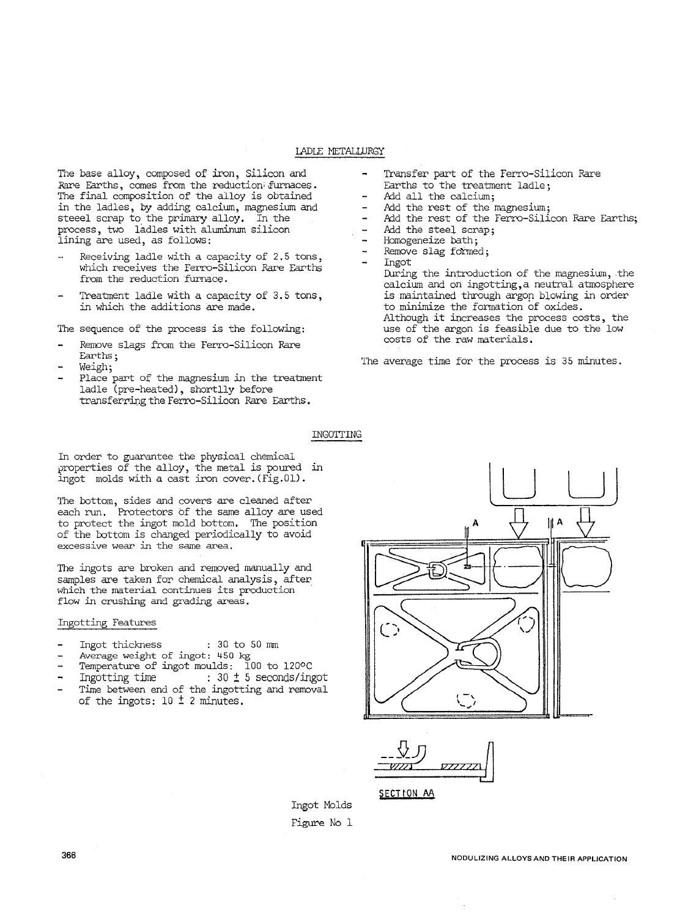# IADLE METALWRGY

The base alloy, composed of iron, Silicon and Rare Earths, comes from the reduction furnaces. The final composition of the alloy is obtained in the ladles, by adding calcium, magnesium and steeel scrap to the primary alloy. In the process, two ladles with aluminum silicon lining are used, as follows:

- Receiving ladle with a capacity of 2.5 tons, which receives the ferro-Silicon Rare Earths from the reduction furnace.
- Treatment ladle with a capacity of 3.5 tons, in which the additions are made.

The sequence of the process is the following:

- Remove slags from the Ferro-Silicon Rare Earths;<br>Weigh;
- 
- Place part of the magnesium in the treatment ladle (pre-heated), shortlly before transferring the Ferro-Silicon Rare Earths.
- Transfer part of the Ferro-Silicon Rare Earths to the treatment ladle;
- Add all the calcium;
- $\overline{a}$ Add the rest of the magnesium;
- Add the rest of the Ferro-Silicon Rare Earths;
- Add the steel scrap;  $\overline{a}$
- Homogeneize bath;
- Remove slag formed;
- Ingot
	- During the introduction of the magnesium, the calcium and on ingotting,a neutral atmosphere is maintained through argop blowing in order to minimize the formation of oxides.<br>Although it increases the process costs, the use of the argon is feasible due to the low<br>costs of the raw materials.

The average time for the process is 35 minutes.

#### INGOTTING

In order to guarantee the physical chemical properties of the alloy, the metal is poured in ingot molds with a cast iron cover. (Fig.01).

The bottom, sides and covers are cleaned after each run. Protectors bf the same alloy are used to protect the ingot mold bottom, The position of the bottom is changed periodically to avoid excessive wear in the same area.

The ingots are broken and removed manually and samples are taken for chemical analysis, after which the material continues its production flow in crushing and grading areas.

### Ingotting Features

- Ingot thickness : 30 to 50 mm
- Average weight of ingot: 450 kg
- Temperature of ingot moulds: 100 to 120°C
- Ingotting time  $\qquad \qquad : 30 \pm 5$  seconds/ingot
- Time between end of the ingotting and removal of the ingots:  $10 \pm 2$  minutes.



\_\_父刀 V/2/J  $\frac{1}{2}$ 

SECTION AA

Ingot Molds Figure No 1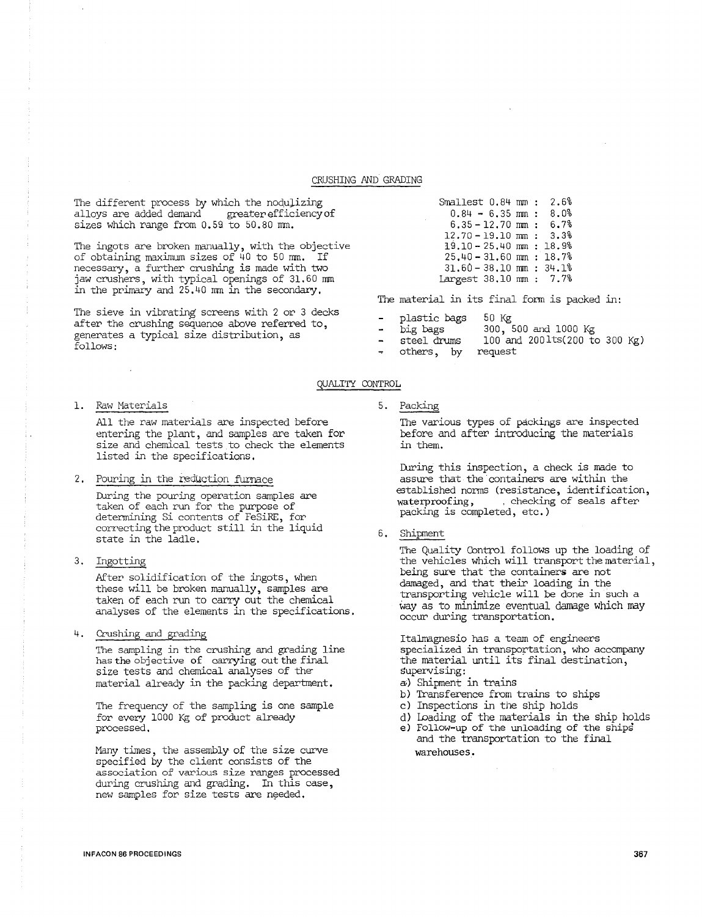#### CRUSHING AND GRADING

The different process by which the nodulizing alloys are added demand greater efficiency of sizes which range from 0.59 to 50.80 mm.

'The ingots are broken manually, with the objective of obtaining maximum sizes of 40 to 50 mm. If necessary, a further crushing is made with two jaw crushers, with typical openings of 31.60 mm in the primary and 25. 40 mm in the secondary,

The sieve in vibrating screens with 2 or 3 decks after the crushing sequence above referred to, generates a typical size distribution, as follows:

#### 1. Paw Materials

All the raw materials are inspected before entering the plant, and samples are taken for size and chemical tests to check the elements listed in the specifications.

#### 2. Pouring in the reduction furnace

During the pouring operation samples are taken of each run for the purpose of determining Si contents of FeSiRE, for correcting the product still in the liquid state in the ladle.

3. Ingotting

After solidification of the ingots, when these will be broken manually, samples are taken of each run to carry out the chemical analyses of the elements in the specifications.

4. Crushing and grading

'The sampling in the crushing and grading line has the objective of carrying out the final size tests and chemical analyses of the material already in the packing department.

The frequency of the sampling is one sample for every 1000 Kg of product already processed,

.Many times, the assembly of the size curve specified by the client consists of the association of various size ranges processed during crushing and grading. In this case, new samples for size tests are needed.

| Smallest 0.84 mm:           |  | 2.6% |
|-----------------------------|--|------|
| $0.84 - 6.35$ mm:           |  | 8.0% |
| $6.35 - 12.70$ mm:          |  | 6.7% |
| $12.70 - 19.10$ mm: 3.3%    |  |      |
| $19.10 - 25.40$ mm: $18.9%$ |  |      |
| $25.40 - 31.60$ mm: 18.7%   |  |      |
| $31.60 - 38.10$ mm: $34.1%$ |  |      |
| Largest 38.10 mm : 7.7%     |  |      |

The material in its final form is packed in:

- plastic bags 50 Kg
	- big bags 300, 500 and 1000 Kg
	- steel drums 100 and 200lts(200 to 300 Kg)
- others, by request

#### 5. Packing

QUALITY CONTROL

'The various types of packings are inspected before and after introducing the materials in them.

During this inspection, a check is made to assure that the containers are within the established norms (resistance, identification,<br>waterproofing, (checking of seals after , checking of seals after packing is completed, etc.)

6. Shipment

'The Quality Control follows up the loading of the vehicles which will transport the material, being sure that the containers are not damaged, and that their loading in the transporting vehicle will be done in such a way as to minimize eventual damage which may occur during transportation.

Italmagnesio has a team of engineers specialized in transportation, who accompany the material until its final destination, supervising:

- a;) Shipment in trains
- b) Transference from trains to ships
- c) Inspections in the ship holds
- d) Loading of the materials in the ship holds
- e) follow-up of the unloading of the ships and the transportation to the final warehouses.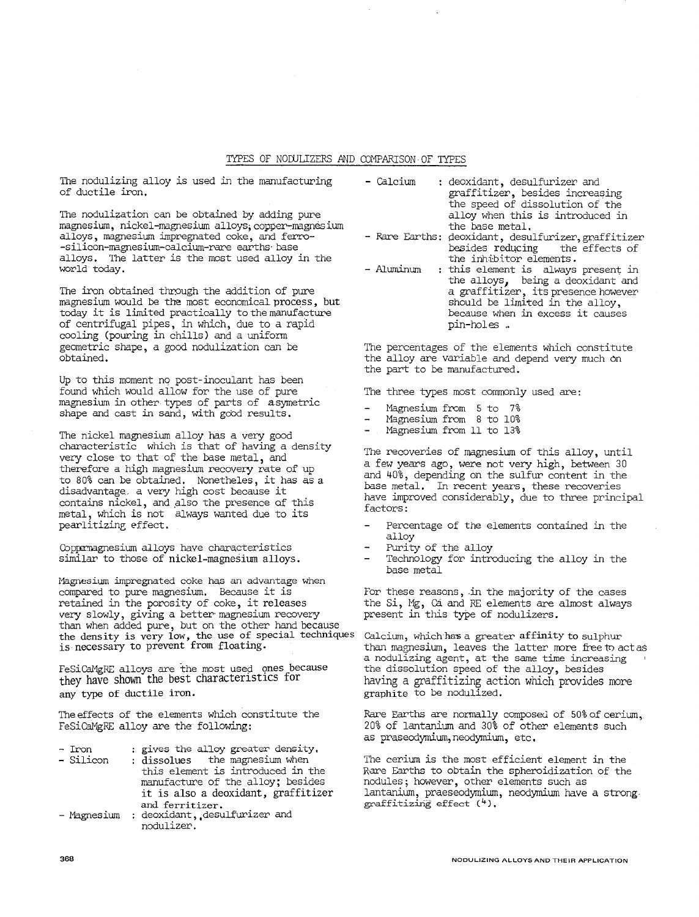#### TYPES OF NODULIZERS AND COMPARISON OF TYPES

The nodulizing alloy is used in the manufacturing of ductile iron.

The nodulization can be obtained by adding pure magnesium, nickel-magnesium alloys; copper-magnesium alloys, magnesium impregnated coke, and ferro- -silicon-magnesium-calcium-rare earths· base alloys. The latter is the most used alloy in the world today.

The iron obtained through the addition of pure magnesium would be the most economical process, but today it is limited practically to the manufacture of centrifugal pipes, in which, due to a rapid cooling (pouring *in* chills) and a uniform geometric shape, a good nodulization can be obtained.

Up to this moment no post-inoculant has been found which would allow for the use of pure magnesium in other types of parts of asymetric shape and cast in sand, with good results.

The nickel magnesium alloy has a very good characteristic which is that of having a density very close to that of the base metal, and therefore a high magnesium recovery rate of up to 80% can be obtained. Nonetheles, it has as a disadvantage. a very high cost because it contains nickel, and also the presence of this metal, which is not always wanted due to its pearlitizing effect.

Copremagnesium alloys have characteristics similar to those of nickel-magnesium alloys.

Magnesium impregnated coke has an advantage when compared to pure magnesium. Because it is retained in the porosity of coke, it releases very slowly, giving a better· magnesium recovery than when added pure, but on the other hand because the density is very low, the use of special techniques is necessary to prevent from floating.

FeSiCaMgRE alloys are the most used ones because they have shown the best characteristics for any type of ductile iron.

The effects of the elements which constitute the FeSiCaMgRE alloy are the following:

- Iron<br>- Silicon gives the alloy greater density,
	- dissolues the magnesium when this element is introduced in the manufacture of the alloy; besides it is also a deoxidant, graffitizer and ferritizer.
- Magnesium : deoxidant, desulfurizer and nodulizer.
- Calcium : deoxidant, desulfurizer and graffitizer, besides increasing the speed of dissolution of the alloy when this is introduced in<br>the base metal.
- Rare Earths: deoxidant, desulfurizer,graffitizer<br>besides reducing the effects of besides reducing the<br>the inhibitor elements.
- Aluminum : this element is always present in the alloys, being a deoxidant and a graffitizer, its presence however should be limited in the alloy, because when in excess it causes pin-holes ..

The percentages of the elements which constitute the alloy are variable and depend very much on the part to be manufactured.

The three types most commonly used are:

- Magnesium from 5 to 7%
- Magnesium from 8 to 10%
- Magnesium from ll to 13%

The recoveries of magnesium of this alloy, until a few years ago, were not very high, between 30 and 40%, depending on the sulfur content in the base metal. In recent years, these recoveries have improved considerably, due to three principal factors:

- Percentage of the elements contained in the alloy
- Purity of the alloy
- Technology for introducing the alloy in the base metal

For these reasons, in the majority of the cases the Si, Mg, Ca and RE elements are almost always present in this type of nodulizers.

Calcium, which has a greater affinity to sulphur than magnesium, leaves the latter more free to act as a nodulizing agent, at the same time increasing the dissolution speed of the alloy, besides having a graffitizing action which provides more graphite to be nodulized.

Rare Earths are normally composed of 50% of cerium, 20% of lantanium and 30% of other elements such as praseodymium, neodymium, etc.

The cerium is the most efficient element in the Rare Earths to obtain the spheroidization of the nodules; however, other elements such as lantanium, praeseodymium, neodymium have a strong graffitizirig effect (4),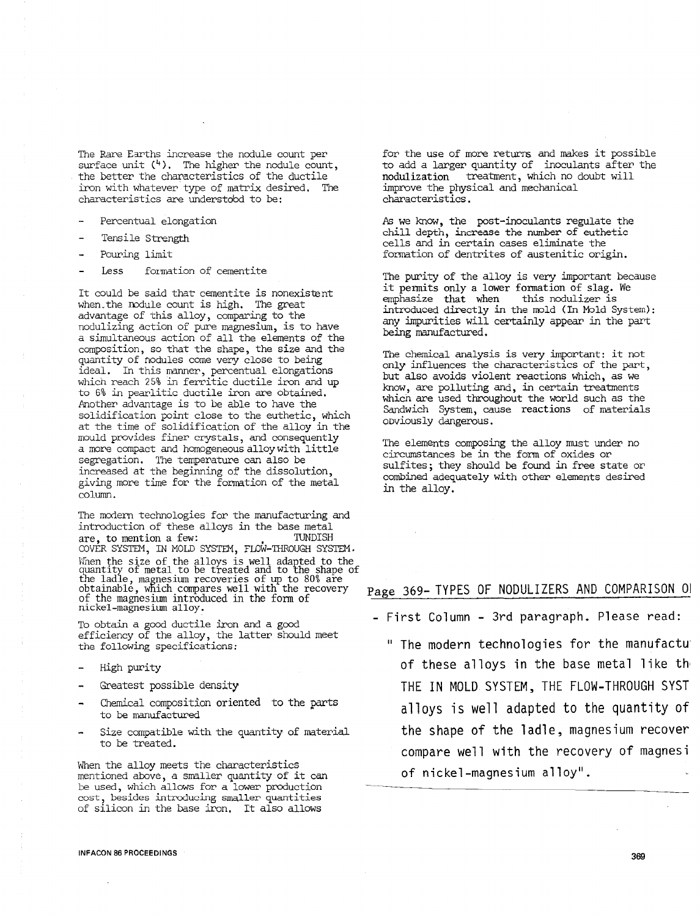The Rare Earths increase the nodule count per surface unit  $(4)$ . The higher the nodule count, the better the characteristics of the ductile iron with whatever type of matrix desired. The characteristics are understdod to be:

- Percentual elongation
- Tensile Strength
- Pouring limit
- Less formation of cementite

It could be said that cementite is nonexistent when.the mdule count is high. The great advantage of this alloy, comparing to the nodulizing action of pure magnesium, is to have a simultaneous action of all the elements of the composition, so that the shape, the size and the quantity of nodules come very close to being ideal, In this manner, percentual elongations which reach 25% in ferritic ductile iron and up to 6% in pearlitic ductile iron are obtained, Another advantage is to be able to have the solidification point close to the euthetic, which at the time of solidification of the alloy in the mould provides finer crystals, and consequently a more compact and homogeneous alloy with little segregation. The temperature can also be increased at the beginning of the dissolution, giving more time for the fonration of the metal column.

The modern technologies for the manufacturing and introduction of these alloys in the base metal are, to mention a few: COVER SYSTEM, IN MOLD SYSTEM, FLOW-THROUGH SYSTEM. When the size of the alloys is well adapted to the quantity of metal to be treated and to the shape of the ladle, magnesium recoveries of up to 80% are obtainable, which compares well with the recovery of the magnesium introduced in the form of nickel-magnesium alloy.

To obtain a good ductile iron and a good efficiency of the alloy, the latter should meet the following specifications;

- High purity
- Greatest possible density
- Chemical composition oriented to the parts to be manufactured
- Size compatible with the quantity of material to be treated.

When the alloy meets the characteristics mentioned above, a smaller quantity of it can be used, which allows for a lower production cost, besides introducing smaller quantities of silicon in the base iron, It also allows

for the use of more returns and makes it possible to add a larger quantity of inoculants after the nodulization treatment, which no doubt will treatment, which no doubt will improve the physical and mechanical characteristics.

*As* we know, the post-inoculants regulate the chill depth, increase the number of euthetic cells and in certain cases eliminate the formation of dentrites of austenitic origin.

The purity of the alloy is very important because it pennits only a lower fomation of slag. We  $emphasize$  that when introduced directly in the mold (In Mold System): any impurities will certainly appear in the part being manufactured.

The chemical analysis is very important: it not only influences the characteristics of the part, but also avoids violent reactions which, as we know, are polluting and, in certain treatments which are used throughout the world such as the Sandwich System, cause reactions of materials obviously dangerous.

The elements composing the alloy must under no circumstances be in the form of oxides or sulfites; they should be found in free state or combined adequately with other elements desired in the alloy.

# Page 369- TYPES OF NODULIZERS AND COMPARISON 01

- First Column - 3rd paragraph. Please read:

" The modern technologies for the manufactu of these alloys in the base metal like th, THE IN MOLD SYSTEM, THE FLOW-THROUGH SYST alloys is well adapted to the quantity of the shape of the ladle, magnesium recover compare well with the recovery of magnesi of nickel-magnesium alloy".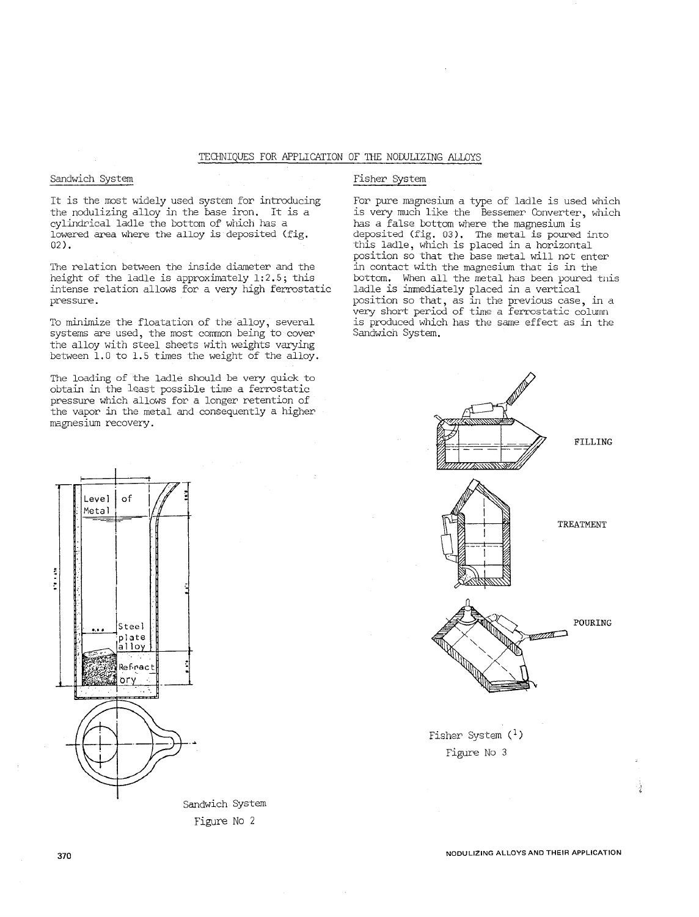# TECHNIQUES FOR APPLICATION OF THE NODULIZING ALLOYS

# Sandwich System

It is the most widely used system for introducing the nodulizing alloy in the base iron. It is a cylindrical ladle the bottom of which has a lowered area where the alloy is deposited (fig. 02).

The relation between the inside diameter and the height of the ladle is approximately 1:2.5; this intense relation allows for a very high ferrostatic pressure.

To minimize the floatation of the alloy, several systems are used, the most common being to cover the alloy with steel sheets with weights varying between 1.0 to 1.5 times the weight of the alloy.

The loading of the ladle should be very quick to obtain in the least possible time a ferrostatic pressure which allows for a longer retention of the vapor in the metal and consequently a higher magnesium recovery.



for pure magnesium a type of ladle is used which is very much like the Bessemer Converter, which has a false bottom where the magnesium is deposited (fig, 03), The metal is poured into this ladle, which is placed in a horizontal position so that the base metal will not enter in contact with the magnesium thac is in the bottom, When all the metal has been poured tnis ladle is immediately placed in a vertical position so that, as in the previous case, in a very short period of time a ferrostatic column is produced which has the same effect as in the Sandwich System.





Sandwich System Figure No 2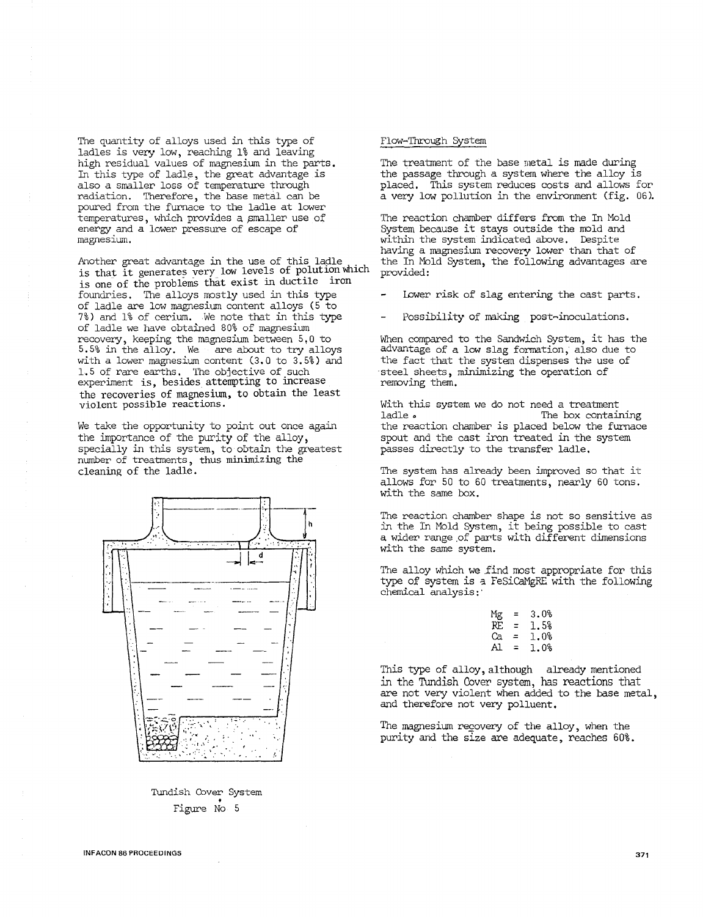The quantity of alloys used in this type of ladles is very low, reaching 1% and leaving high residual values of magnesium in the parts. In this type of ladle, the great advantage is also a smaller loss of temperature through radiation. Therefore, the base metal can be poured from the furnace to the ladle at lower temperatures, which provides a pmaller use of energy and a lower pressure of escape of magnesium.

Another great advantage in the use of this ladle is that it generates very low levels of polution which is one of the problems that exist in ductile iron foundries. The alloys mostly used in this type of ladle are low magnesium content alloys (5 to 7%) and 1% of cerium. We note that in this type of ladle we have obtained 80% of magnesium recovery, keeping the magnesium between 5,0 to 5.5% in the alloy. We are about to try alloys with a lower magnesium content (3.0 to 3.5%) and 1. 5 of rare earths. The objective of such experiment is, besides attempting to increase the recoveries of magnesium, to obtain the least violent possible reactions.

We take the opportunity to point out once again the importance of the purity of the alloy, specially in this system, to obtain the greatest number of treatments, thus minimizing the cleaning of the ladle.



Tundish Cover System • Figure No 5

#### Flow-Through System

The treatment of the base metal is nade during the passage through a system where the alloy is placed. This system reduces costs and allows for a very low pollution in the environment (fig. 06).

The reaction chamber differs from the In Mold System because it stays outside the mold and within the system indicated above. Despite having a magnesium recovery lower than that of the In Mold System, the following advantages are provided:

- Lower risk of slag entering the cast parts.
- Possibility of naking post-inoculations.

When compared to the Sandwich System, it has the advantage of a low slag formation, also due to the fact that the system dispenses the use of steel sheets, minimizing the operation of removing them.

With this system we do not need a treatment<br>ladle . The box contain The box containing the reaction chamber is placed below the furnace spout and the cast iron treated in the system passes directly to the transfer ladle.

The system has already been improved so that it allows for 50 to 60 treatments, nearly 60 tons. with the same box.

The reaction chamber shape is not so sensitive as in the In Mold system, it being possible to cast a wider range.of parts with different dimensions with the same system.

The alloy which we find most appropriate for this type of system is a FeSiCaMgRE with the following chemical analysis:·

| Ξ | 3.0% |
|---|------|
| Ξ | 1.5% |
| = | 1.0% |
| ⋍ | 1.0% |
|   |      |

This type of alloy, although already mentioned in the Tundish Cover system, has reactions that are not very violent when added to the base metal, and therefore not very polluent.

The magnesium recovery of the alloy, when the purity and the size are adequate, reaches 60% .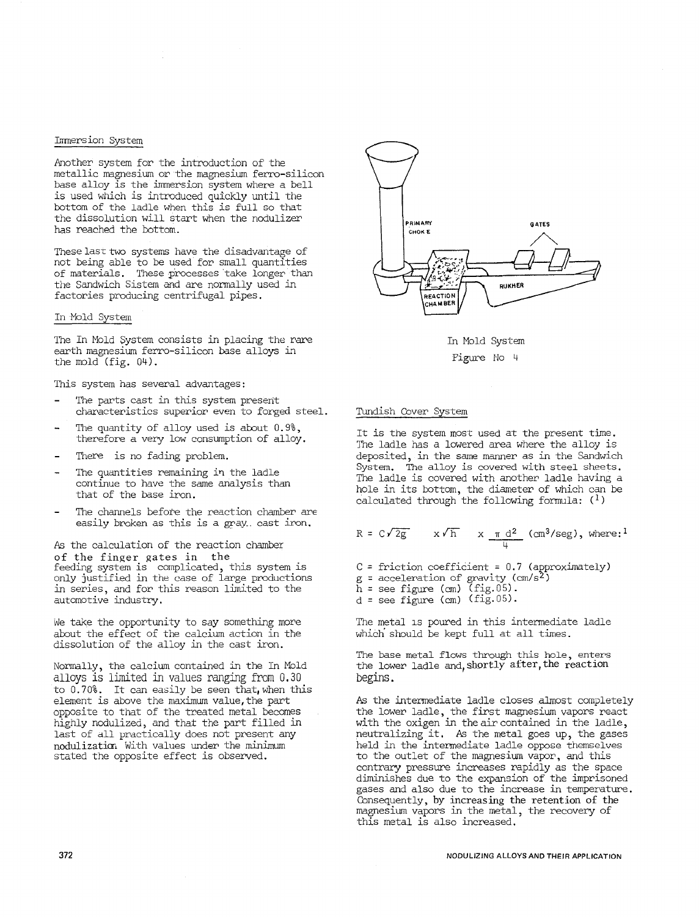### Immersion System

Another system for the introduction of the metallic magnesium or the magnesium ferro-silicon base alloy is the immersion system where a bell is used which is introduced quickly until the bottom of the ladle when this is full so that the dissolution will start when the nodulizer has reached the bottom.

These last two systems have the disadvantage of not being able to be used for small quantities of materials. These processes take longer than the Sandwich Sistem and are normally used in factories producing centrifugal pipes.

#### In Mold System

The In Mold System consists in placing the rare earth magnesium ferro-silicon base alloys in the mold (fig. 04).

This system has several advantages:

- The parts cast in this system present characteristics superior even to forged steel.
- The quantity of alloy used is about 0.9%, therefore a very low consumption of alloy.
- There is no fading problem.
- The quantities remaining in the ladle continue to have the same analysis than that of the base iron.
- The channels before the reaction chamber are easily broken as this is a gray cast iron.

*As* the calculation of the reaction chamber of the finger gates in the feeding system is complicated, this system is only justified in the case of large productions in series, and for this reason limited to the automotive industry.

We take the opportunity to say something more about the effect of the calcium action in the dissolution of the alloy in the cast iron.

Normally, the calcium contained in the In Mold alloys is limited in values ranging from 0.30 to 0.70%. It can easily be seen that, when this element is above the maximum value, the part opposite to that of the treated metal becomes highly nodulized, and that the part filled in last of all practically does not present any nodulizatim With values under the minimum stated the opposite effect is observed.



In Mold System Pigure Ho 4

## Tundish Cover System

It is the system most used at the present time. The ladle has a lowered area where the alloy is deposited, in the same manner as in the Sandwich System. The alloy is covered with steel sheets, The ladle is covered with another ladle having a hole in its bottom, the diameter of which can be calculated through the following formula:  $(1)$ 

$$
R = C\sqrt{2g} \qquad x\sqrt{h} \qquad x \frac{\pi d^2}{4} \text{ (cm}^3/\text{seg)}, \text{ where:}^1
$$

 $C =$  friction coefficient = 0.7 (approximately)  $g =$  acceleration of gravity (cm/s<sup>2</sup>)  $\bar{h}$  = see figure (cm) (fig.05).  $d$  = see figure (cm) (fig.05).

The metal is poured in this intermediate ladle which should be kept full at all times.

The base metal flows through this hole, enters the lower ladle and, shortly after, the reaction begins.

As the intermediate ladle closes almost completely the lower ladle, the first magnesium vapors react with the oxigen in the air contained in the ladle, neutralizing it, *As* the metal goes up, the gases held in the intermediate ladle oppose themselves to the outlet of the magnesium vapor, and this contrary pressure increases rapidly as the space diminishes due to the expansion of the imprisoned gases and also due to the increase in temperature. Consequently, by increasing the retention of the magnesium vapors in the metal, the recovery of this metal is also increased.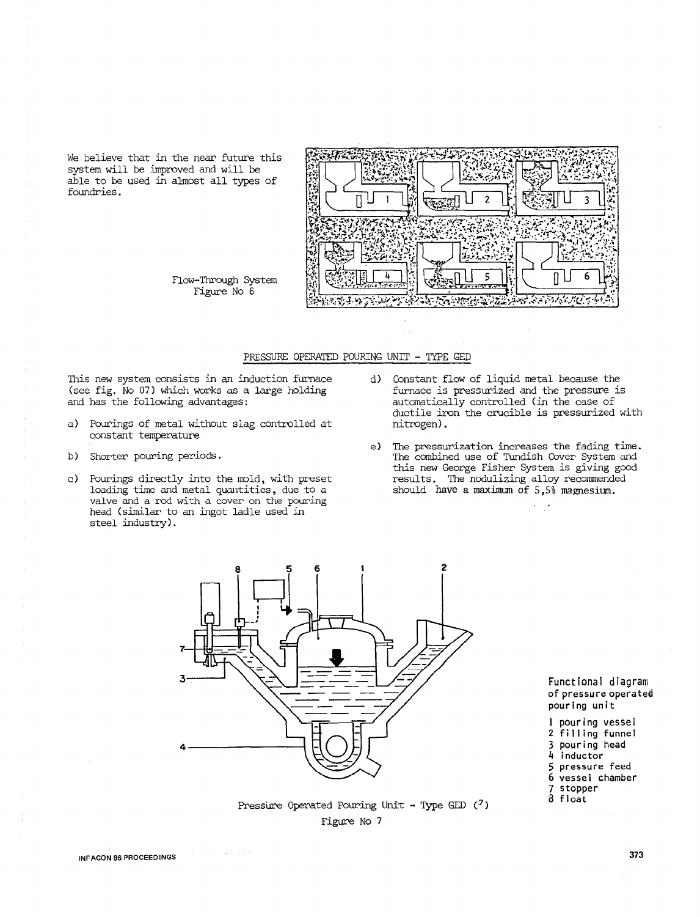We believe that in the near future this system will be improved and will be able to be used in almost all types of foundries.



flow-Through System figure No 6

# PRESSURE OPERATED POURING UNIT - TYPE GED

This new system consists in an induction furnace (see fig. No 07) which works as a large holding and has the following advantages:

- a) Pourings of metal without slag controlled at constant temperature
- b) Shorter pouring periods.
- c) Pourings directly into the mold, with preset loading time and metal quantities, due to a valve and a rod with a cover on the pouring head (similar to an ingot ladle used in steel industry).
- d) Constant flow of liquid metal because the furnace is pressurized and the pressure is automatically controlled (in the case of ductile iron the crucible is pressurized with nitrogen).
- e) The pressurization increases the fading time. The combined use of Tundish Cover System and this new George fisher System is giving good results. The nodulizing alloy recommended should have a maximum of 5 ,5% magnesium.



Functional diagram of pressure operateil pouring unit

I pouring vessel

2 filling funnel

3 pouring head

4 inductor

5 pressure feed

6 vessel chamber

7 stopper

a float